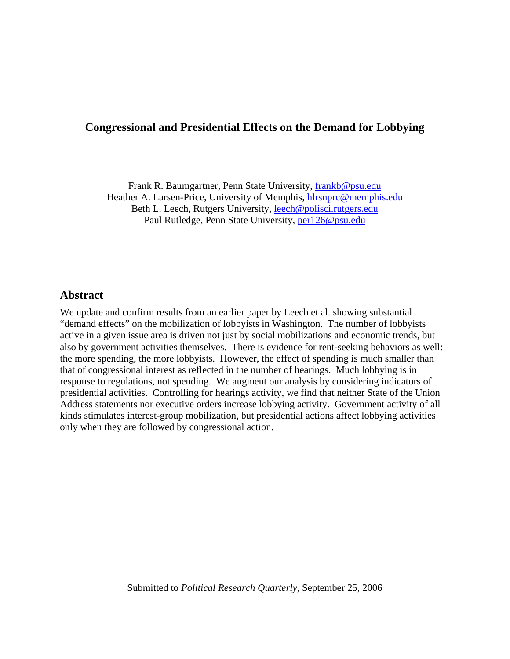# **Congressional and Presidential Effects on the Demand for Lobbying**

Frank R. Baumgartner, Penn State University, [frankb@psu.edu](mailto:frankb@psu.edu) Heather A. Larsen-Price, University of Memphis, hlrsnprc@memphis.edu Beth L. Leech, Rutgers University, [leech@polisci.rutgers.edu](mailto:leech@polisci.rutgers.edu) Paul Rutledge, Penn State University, [per126@psu.edu](mailto:per126@psu.edu)

## **Abstract**

We update and confirm results from an earlier paper by Leech et al. showing substantial "demand effects" on the mobilization of lobbyists in Washington. The number of lobbyists active in a given issue area is driven not just by social mobilizations and economic trends, but also by government activities themselves. There is evidence for rent-seeking behaviors as well: the more spending, the more lobbyists. However, the effect of spending is much smaller than that of congressional interest as reflected in the number of hearings. Much lobbying is in response to regulations, not spending. We augment our analysis by considering indicators of presidential activities. Controlling for hearings activity, we find that neither State of the Union Address statements nor executive orders increase lobbying activity. Government activity of all kinds stimulates interest-group mobilization, but presidential actions affect lobbying activities only when they are followed by congressional action.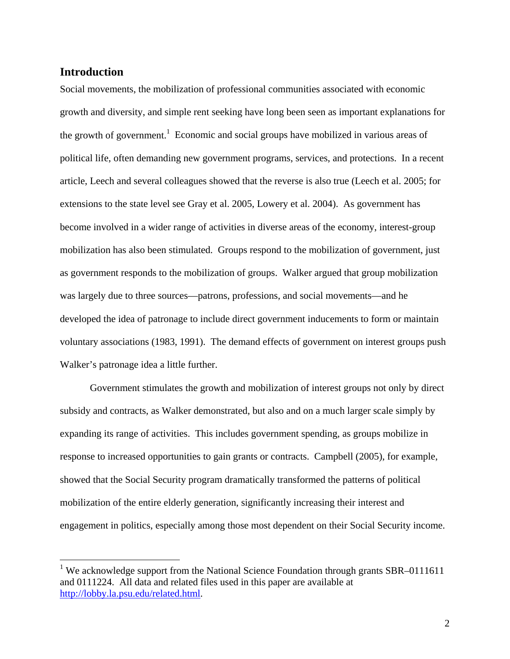# **Introduction**

1

Social movements, the mobilization of professional communities associated with economic growth and diversity, and simple rent seeking have long been seen as important explanations for the growth of government.<sup>[1](#page-1-0)</sup> Economic and social groups have mobilized in various areas of political life, often demanding new government programs, services, and protections. In a recent article, Leech and several colleagues showed that the reverse is also true (Leech et al. 2005; for extensions to the state level see Gray et al. 2005, Lowery et al. 2004). As government has become involved in a wider range of activities in diverse areas of the economy, interest-group mobilization has also been stimulated. Groups respond to the mobilization of government, just as government responds to the mobilization of groups. Walker argued that group mobilization was largely due to three sources—patrons, professions, and social movements—and he developed the idea of patronage to include direct government inducements to form or maintain voluntary associations (1983, 1991). The demand effects of government on interest groups push Walker's patronage idea a little further.

Government stimulates the growth and mobilization of interest groups not only by direct subsidy and contracts, as Walker demonstrated, but also and on a much larger scale simply by expanding its range of activities. This includes government spending, as groups mobilize in response to increased opportunities to gain grants or contracts. Campbell (2005), for example, showed that the Social Security program dramatically transformed the patterns of political mobilization of the entire elderly generation, significantly increasing their interest and engagement in politics, especially among those most dependent on their Social Security income.

<span id="page-1-0"></span><sup>&</sup>lt;sup>1</sup> We acknowledge support from the National Science Foundation through grants SBR-0111611 and 0111224. All data and related files used in this paper are available at [http://lobby.la.psu.edu/related.html.](http://lobby.la.psu.edu/related.html)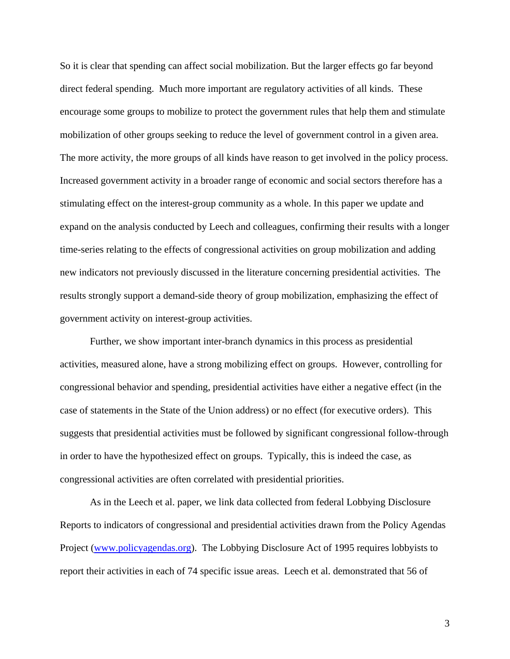So it is clear that spending can affect social mobilization. But the larger effects go far beyond direct federal spending. Much more important are regulatory activities of all kinds. These encourage some groups to mobilize to protect the government rules that help them and stimulate mobilization of other groups seeking to reduce the level of government control in a given area. The more activity, the more groups of all kinds have reason to get involved in the policy process. Increased government activity in a broader range of economic and social sectors therefore has a stimulating effect on the interest-group community as a whole. In this paper we update and expand on the analysis conducted by Leech and colleagues, confirming their results with a longer time-series relating to the effects of congressional activities on group mobilization and adding new indicators not previously discussed in the literature concerning presidential activities. The results strongly support a demand-side theory of group mobilization, emphasizing the effect of government activity on interest-group activities.

Further, we show important inter-branch dynamics in this process as presidential activities, measured alone, have a strong mobilizing effect on groups. However, controlling for congressional behavior and spending, presidential activities have either a negative effect (in the case of statements in the State of the Union address) or no effect (for executive orders). This suggests that presidential activities must be followed by significant congressional follow-through in order to have the hypothesized effect on groups. Typically, this is indeed the case, as congressional activities are often correlated with presidential priorities.

As in the Leech et al. paper, we link data collected from federal Lobbying Disclosure Reports to indicators of congressional and presidential activities drawn from the Policy Agendas Project [\(www.policyagendas.org\)](http://www.policyagendas.org/). The Lobbying Disclosure Act of 1995 requires lobbyists to report their activities in each of 74 specific issue areas. Leech et al. demonstrated that 56 of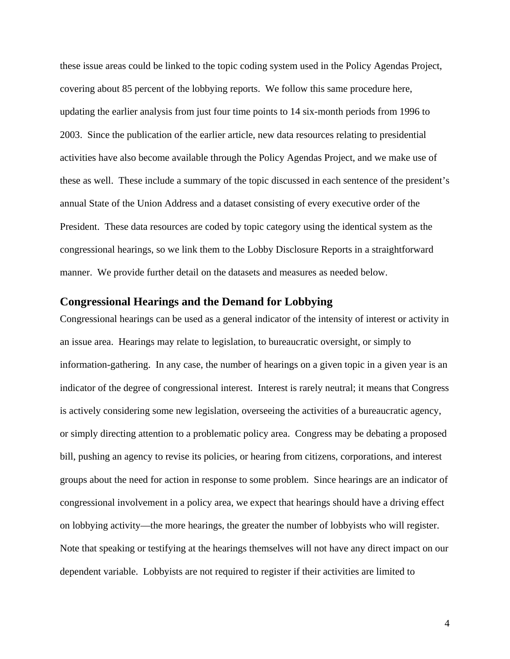these issue areas could be linked to the topic coding system used in the Policy Agendas Project, covering about 85 percent of the lobbying reports. We follow this same procedure here, updating the earlier analysis from just four time points to 14 six-month periods from 1996 to 2003. Since the publication of the earlier article, new data resources relating to presidential activities have also become available through the Policy Agendas Project, and we make use of these as well. These include a summary of the topic discussed in each sentence of the president's annual State of the Union Address and a dataset consisting of every executive order of the President. These data resources are coded by topic category using the identical system as the congressional hearings, so we link them to the Lobby Disclosure Reports in a straightforward manner. We provide further detail on the datasets and measures as needed below.

### **Congressional Hearings and the Demand for Lobbying**

Congressional hearings can be used as a general indicator of the intensity of interest or activity in an issue area. Hearings may relate to legislation, to bureaucratic oversight, or simply to information-gathering. In any case, the number of hearings on a given topic in a given year is an indicator of the degree of congressional interest. Interest is rarely neutral; it means that Congress is actively considering some new legislation, overseeing the activities of a bureaucratic agency, or simply directing attention to a problematic policy area. Congress may be debating a proposed bill, pushing an agency to revise its policies, or hearing from citizens, corporations, and interest groups about the need for action in response to some problem. Since hearings are an indicator of congressional involvement in a policy area, we expect that hearings should have a driving effect on lobbying activity—the more hearings, the greater the number of lobbyists who will register. Note that speaking or testifying at the hearings themselves will not have any direct impact on our dependent variable. Lobbyists are not required to register if their activities are limited to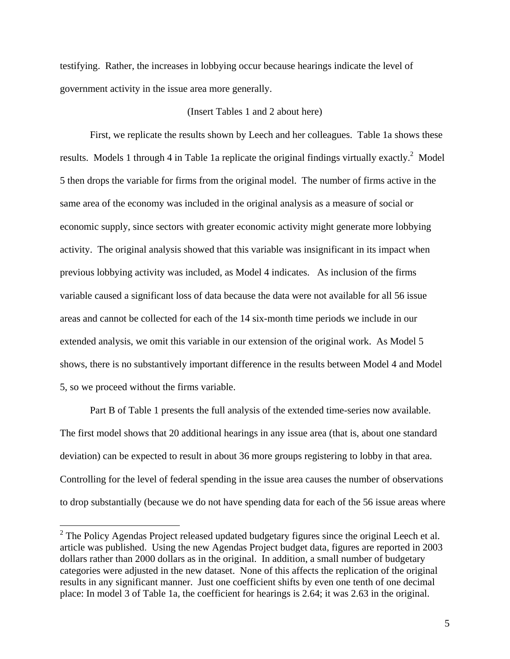testifying. Rather, the increases in lobbying occur because hearings indicate the level of government activity in the issue area more generally.

#### (Insert Tables 1 and 2 about here)

First, we replicate the results shown by Leech and her colleagues. Table 1a shows these results. Models 1 through 4 in Table 1a replicate the original findings virtually exactly.<sup>[2](#page-4-0)</sup> Model 5 then drops the variable for firms from the original model. The number of firms active in the same area of the economy was included in the original analysis as a measure of social or economic supply, since sectors with greater economic activity might generate more lobbying activity. The original analysis showed that this variable was insignificant in its impact when previous lobbying activity was included, as Model 4 indicates. As inclusion of the firms variable caused a significant loss of data because the data were not available for all 56 issue areas and cannot be collected for each of the 14 six-month time periods we include in our extended analysis, we omit this variable in our extension of the original work. As Model 5 shows, there is no substantively important difference in the results between Model 4 and Model 5, so we proceed without the firms variable.

Part B of Table 1 presents the full analysis of the extended time-series now available. The first model shows that 20 additional hearings in any issue area (that is, about one standard deviation) can be expected to result in about 36 more groups registering to lobby in that area. Controlling for the level of federal spending in the issue area causes the number of observations to drop substantially (because we do not have spending data for each of the 56 issue areas where

<u>.</u>

<span id="page-4-0"></span> $2^2$  The Policy Agendas Project released updated budgetary figures since the original Leech et al. article was published. Using the new Agendas Project budget data, figures are reported in 2003 dollars rather than 2000 dollars as in the original. In addition, a small number of budgetary categories were adjusted in the new dataset. None of this affects the replication of the original results in any significant manner. Just one coefficient shifts by even one tenth of one decimal place: In model 3 of Table 1a, the coefficient for hearings is 2.64; it was 2.63 in the original.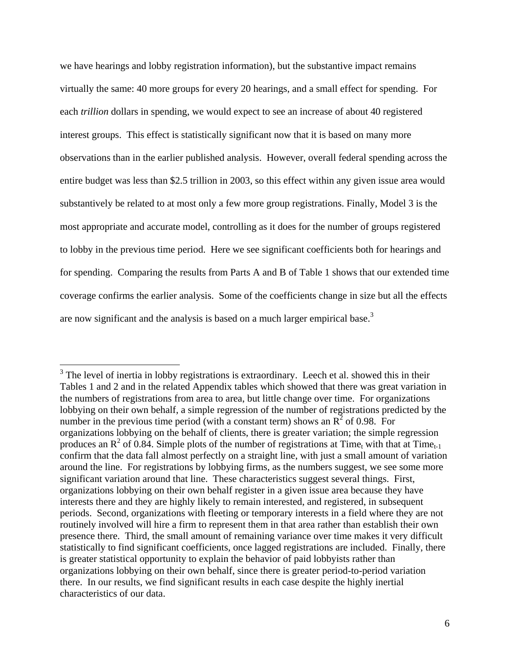we have hearings and lobby registration information), but the substantive impact remains virtually the same: 40 more groups for every 20 hearings, and a small effect for spending. For each *trillion* dollars in spending, we would expect to see an increase of about 40 registered interest groups. This effect is statistically significant now that it is based on many more observations than in the earlier published analysis. However, overall federal spending across the entire budget was less than \$2.5 trillion in 2003, so this effect within any given issue area would substantively be related to at most only a few more group registrations. Finally, Model 3 is the most appropriate and accurate model, controlling as it does for the number of groups registered to lobby in the previous time period. Here we see significant coefficients both for hearings and for spending. Comparing the results from Parts A and B of Table 1 shows that our extended time coverage confirms the earlier analysis. Some of the coefficients change in size but all the effects are now significant and the analysis is based on a much larger empirical base.<sup>[3](#page-5-0)</sup>

<span id="page-5-0"></span> $3$  The level of inertia in lobby registrations is extraordinary. Leech et al. showed this in their Tables 1 and 2 and in the related Appendix tables which showed that there was great variation in the numbers of registrations from area to area, but little change over time. For organizations lobbying on their own behalf, a simple regression of the number of registrations predicted by the number in the previous time period (with a constant term) shows an  $\overline{R}^2$  of 0.98. For organizations lobbying on the behalf of clients, there is greater variation; the simple regression produces an  $\mathbb{R}^2$  of 0.84. Simple plots of the number of registrations at Time<sub>t</sub> with that at Time<sub>t-1</sub> confirm that the data fall almost perfectly on a straight line, with just a small amount of variation around the line. For registrations by lobbying firms, as the numbers suggest, we see some more significant variation around that line. These characteristics suggest several things. First, organizations lobbying on their own behalf register in a given issue area because they have interests there and they are highly likely to remain interested, and registered, in subsequent periods. Second, organizations with fleeting or temporary interests in a field where they are not routinely involved will hire a firm to represent them in that area rather than establish their own presence there. Third, the small amount of remaining variance over time makes it very difficult statistically to find significant coefficients, once lagged registrations are included. Finally, there is greater statistical opportunity to explain the behavior of paid lobbyists rather than organizations lobbying on their own behalf, since there is greater period-to-period variation there. In our results, we find significant results in each case despite the highly inertial characteristics of our data.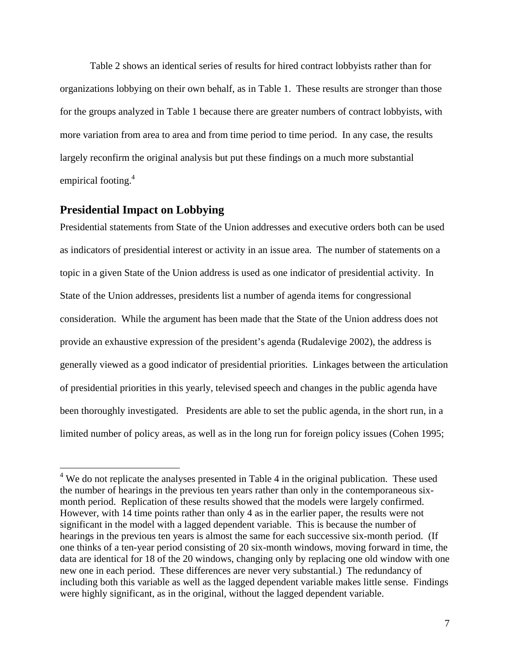Table 2 shows an identical series of results for hired contract lobbyists rather than for organizations lobbying on their own behalf, as in Table 1. These results are stronger than those for the groups analyzed in Table 1 because there are greater numbers of contract lobbyists, with more variation from area to area and from time period to time period. In any case, the results largely reconfirm the original analysis but put these findings on a much more substantial empirical footing.<sup>4</sup>

## **Presidential Impact on Lobbying**

Presidential statements from State of the Union addresses and executive orders both can be used as indicators of presidential interest or activity in an issue area. The number of statements on a topic in a given State of the Union address is used as one indicator of presidential activity. In State of the Union addresses, presidents list a number of agenda items for congressional consideration. While the argument has been made that the State of the Union address does not provide an exhaustive expression of the president's agenda (Rudalevige 2002), the address is generally viewed as a good indicator of presidential priorities. Linkages between the articulation of presidential priorities in this yearly, televised speech and changes in the public agenda have been thoroughly investigated. Presidents are able to set the public agenda, in the short run, in a limited number of policy areas, as well as in the long run for foreign policy issues (Cohen 1995;

<span id="page-6-0"></span><sup>&</sup>lt;sup>4</sup> We do not replicate the analyses presented in Table 4 in the original publication. These used the number of hearings in the previous ten years rather than only in the contemporaneous sixmonth period. Replication of these results showed that the models were largely confirmed. However, with 14 time points rather than only 4 as in the earlier paper, the results were not significant in the model with a lagged dependent variable. This is because the number of hearings in the previous ten years is almost the same for each successive six-month period. (If one thinks of a ten-year period consisting of 20 six-month windows, moving forward in time, the data are identical for 18 of the 20 windows, changing only by replacing one old window with one new one in each period. These differences are never very substantial.) The redundancy of including both this variable as well as the lagged dependent variable makes little sense. Findings were highly significant, as in the original, without the lagged dependent variable.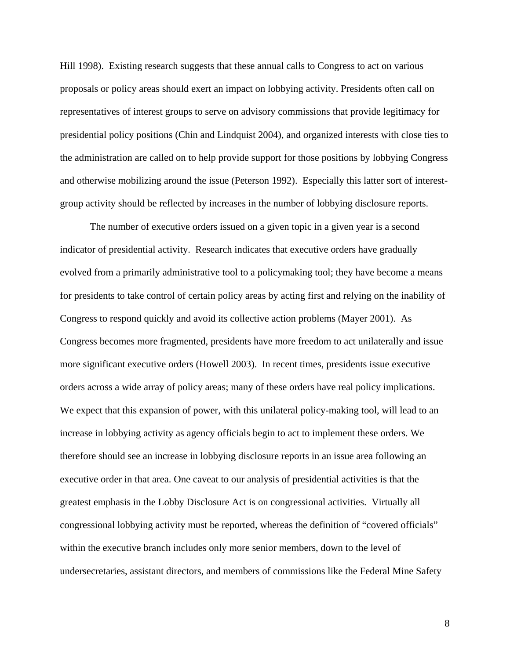Hill 1998). Existing research suggests that these annual calls to Congress to act on various proposals or policy areas should exert an impact on lobbying activity. Presidents often call on representatives of interest groups to serve on advisory commissions that provide legitimacy for presidential policy positions (Chin and Lindquist 2004), and organized interests with close ties to the administration are called on to help provide support for those positions by lobbying Congress and otherwise mobilizing around the issue (Peterson 1992). Especially this latter sort of interestgroup activity should be reflected by increases in the number of lobbying disclosure reports.

The number of executive orders issued on a given topic in a given year is a second indicator of presidential activity. Research indicates that executive orders have gradually evolved from a primarily administrative tool to a policymaking tool; they have become a means for presidents to take control of certain policy areas by acting first and relying on the inability of Congress to respond quickly and avoid its collective action problems (Mayer 2001). As Congress becomes more fragmented, presidents have more freedom to act unilaterally and issue more significant executive orders (Howell 2003). In recent times, presidents issue executive orders across a wide array of policy areas; many of these orders have real policy implications. We expect that this expansion of power, with this unilateral policy-making tool, will lead to an increase in lobbying activity as agency officials begin to act to implement these orders. We therefore should see an increase in lobbying disclosure reports in an issue area following an executive order in that area. One caveat to our analysis of presidential activities is that the greatest emphasis in the Lobby Disclosure Act is on congressional activities. Virtually all congressional lobbying activity must be reported, whereas the definition of "covered officials" within the executive branch includes only more senior members, down to the level of undersecretaries, assistant directors, and members of commissions like the Federal Mine Safety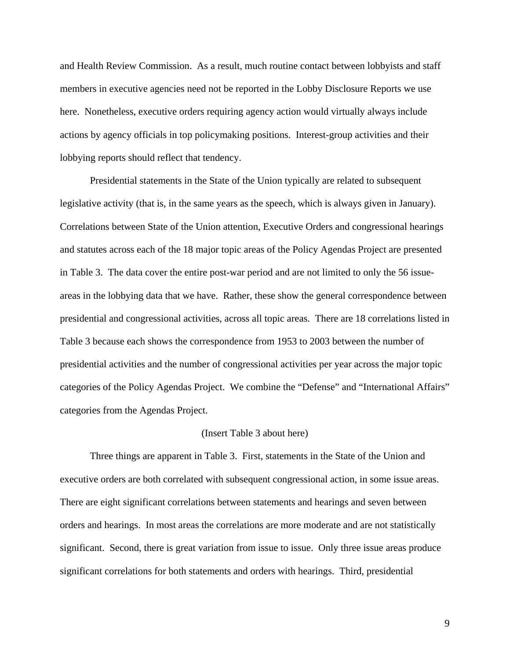and Health Review Commission. As a result, much routine contact between lobbyists and staff members in executive agencies need not be reported in the Lobby Disclosure Reports we use here. Nonetheless, executive orders requiring agency action would virtually always include actions by agency officials in top policymaking positions. Interest-group activities and their lobbying reports should reflect that tendency.

Presidential statements in the State of the Union typically are related to subsequent legislative activity (that is, in the same years as the speech, which is always given in January). Correlations between State of the Union attention, Executive Orders and congressional hearings and statutes across each of the 18 major topic areas of the Policy Agendas Project are presented in Table 3. The data cover the entire post-war period and are not limited to only the 56 issueareas in the lobbying data that we have. Rather, these show the general correspondence between presidential and congressional activities, across all topic areas. There are 18 correlations listed in Table 3 because each shows the correspondence from 1953 to 2003 between the number of presidential activities and the number of congressional activities per year across the major topic categories of the Policy Agendas Project. We combine the "Defense" and "International Affairs" categories from the Agendas Project.

#### (Insert Table 3 about here)

Three things are apparent in Table 3. First, statements in the State of the Union and executive orders are both correlated with subsequent congressional action, in some issue areas. There are eight significant correlations between statements and hearings and seven between orders and hearings. In most areas the correlations are more moderate and are not statistically significant. Second, there is great variation from issue to issue. Only three issue areas produce significant correlations for both statements and orders with hearings. Third, presidential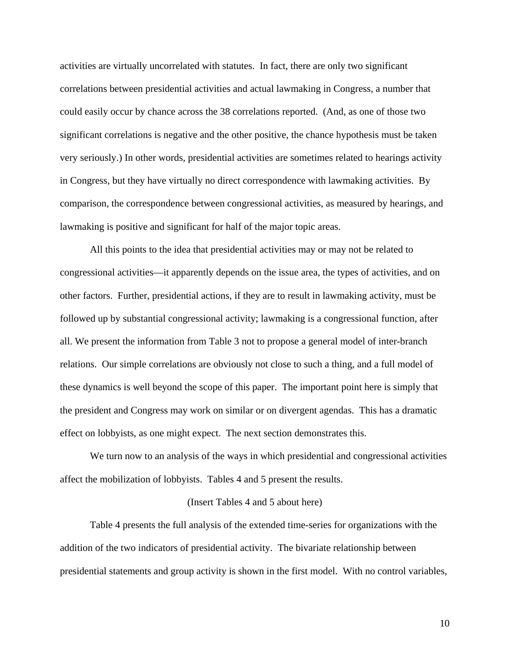activities are virtually uncorrelated with statutes. In fact, there are only two significant correlations between presidential activities and actual lawmaking in Congress, a number that could easily occur by chance across the 38 correlations reported. (And, as one of those two significant correlations is negative and the other positive, the chance hypothesis must be taken very seriously.) In other words, presidential activities are sometimes related to hearings activity in Congress, but they have virtually no direct correspondence with lawmaking activities. By comparison, the correspondence between congressional activities, as measured by hearings, and lawmaking is positive and significant for half of the major topic areas.

All this points to the idea that presidential activities may or may not be related to congressional activities—it apparently depends on the issue area, the types of activities, and on other factors. Further, presidential actions, if they are to result in lawmaking activity, must be followed up by substantial congressional activity; lawmaking is a congressional function, after all. We present the information from Table 3 not to propose a general model of inter-branch relations. Our simple correlations are obviously not close to such a thing, and a full model of these dynamics is well beyond the scope of this paper. The important point here is simply that the president and Congress may work on similar or on divergent agendas. This has a dramatic effect on lobbyists, as one might expect. The next section demonstrates this.

We turn now to an analysis of the ways in which presidential and congressional activities affect the mobilization of lobbyists. Tables 4 and 5 present the results.

#### (Insert Tables 4 and 5 about here)

Table 4 presents the full analysis of the extended time-series for organizations with the addition of the two indicators of presidential activity. The bivariate relationship between presidential statements and group activity is shown in the first model. With no control variables,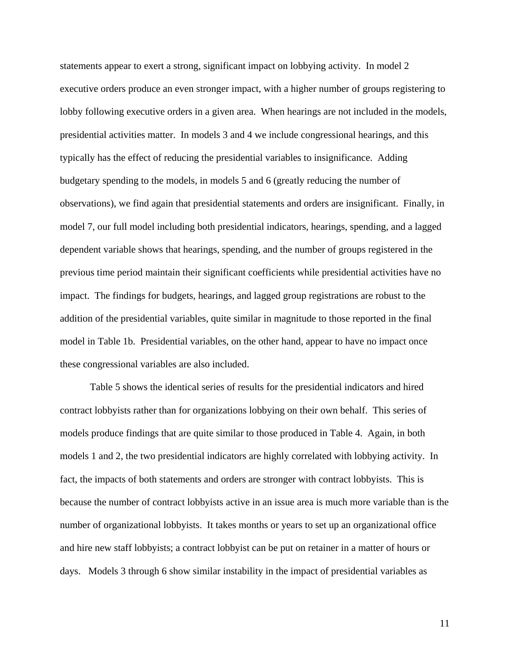statements appear to exert a strong, significant impact on lobbying activity. In model 2 executive orders produce an even stronger impact, with a higher number of groups registering to lobby following executive orders in a given area. When hearings are not included in the models, presidential activities matter. In models 3 and 4 we include congressional hearings, and this typically has the effect of reducing the presidential variables to insignificance. Adding budgetary spending to the models, in models 5 and 6 (greatly reducing the number of observations), we find again that presidential statements and orders are insignificant. Finally, in model 7, our full model including both presidential indicators, hearings, spending, and a lagged dependent variable shows that hearings, spending, and the number of groups registered in the previous time period maintain their significant coefficients while presidential activities have no impact. The findings for budgets, hearings, and lagged group registrations are robust to the addition of the presidential variables, quite similar in magnitude to those reported in the final model in Table 1b. Presidential variables, on the other hand, appear to have no impact once these congressional variables are also included.

Table 5 shows the identical series of results for the presidential indicators and hired contract lobbyists rather than for organizations lobbying on their own behalf. This series of models produce findings that are quite similar to those produced in Table 4. Again, in both models 1 and 2, the two presidential indicators are highly correlated with lobbying activity. In fact, the impacts of both statements and orders are stronger with contract lobbyists. This is because the number of contract lobbyists active in an issue area is much more variable than is the number of organizational lobbyists. It takes months or years to set up an organizational office and hire new staff lobbyists; a contract lobbyist can be put on retainer in a matter of hours or days. Models 3 through 6 show similar instability in the impact of presidential variables as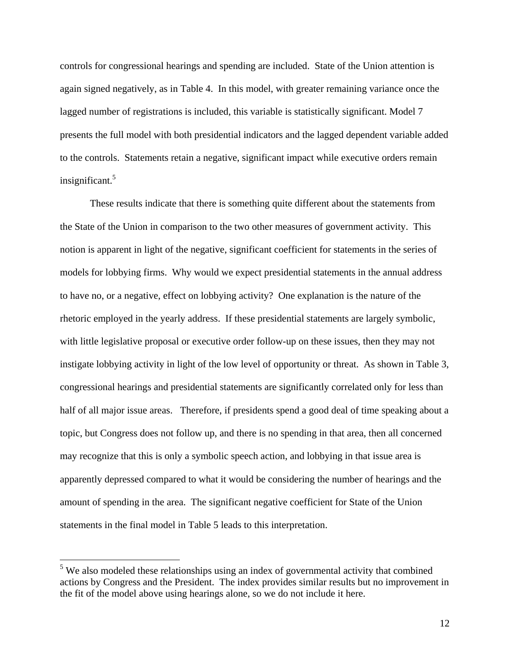controls for congressional hearings and spending are included. State of the Union attention is again signed negatively, as in Table 4. In this model, with greater remaining variance once the lagged number of registrations is included, this variable is statistically significant. Model 7 presents the full model with both presidential indicators and the lagged dependent variable added to the controls. Statements retain a negative, significant impact while executive orders remain insignificant.[5](#page-11-0)

These results indicate that there is something quite different about the statements from the State of the Union in comparison to the two other measures of government activity. This notion is apparent in light of the negative, significant coefficient for statements in the series of models for lobbying firms. Why would we expect presidential statements in the annual address to have no, or a negative, effect on lobbying activity? One explanation is the nature of the rhetoric employed in the yearly address. If these presidential statements are largely symbolic, with little legislative proposal or executive order follow-up on these issues, then they may not instigate lobbying activity in light of the low level of opportunity or threat. As shown in Table 3, congressional hearings and presidential statements are significantly correlated only for less than half of all major issue areas. Therefore, if presidents spend a good deal of time speaking about a topic, but Congress does not follow up, and there is no spending in that area, then all concerned may recognize that this is only a symbolic speech action, and lobbying in that issue area is apparently depressed compared to what it would be considering the number of hearings and the amount of spending in the area. The significant negative coefficient for State of the Union statements in the final model in Table 5 leads to this interpretation.

<span id="page-11-0"></span> $5$  We also modeled these relationships using an index of governmental activity that combined actions by Congress and the President. The index provides similar results but no improvement in the fit of the model above using hearings alone, so we do not include it here.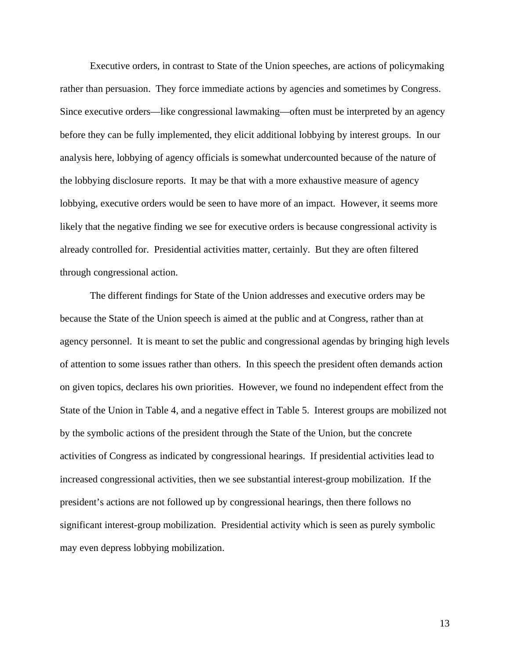Executive orders, in contrast to State of the Union speeches, are actions of policymaking rather than persuasion. They force immediate actions by agencies and sometimes by Congress. Since executive orders—like congressional lawmaking—often must be interpreted by an agency before they can be fully implemented, they elicit additional lobbying by interest groups. In our analysis here, lobbying of agency officials is somewhat undercounted because of the nature of the lobbying disclosure reports. It may be that with a more exhaustive measure of agency lobbying, executive orders would be seen to have more of an impact. However, it seems more likely that the negative finding we see for executive orders is because congressional activity is already controlled for. Presidential activities matter, certainly. But they are often filtered through congressional action.

The different findings for State of the Union addresses and executive orders may be because the State of the Union speech is aimed at the public and at Congress, rather than at agency personnel. It is meant to set the public and congressional agendas by bringing high levels of attention to some issues rather than others. In this speech the president often demands action on given topics, declares his own priorities. However, we found no independent effect from the State of the Union in Table 4, and a negative effect in Table 5. Interest groups are mobilized not by the symbolic actions of the president through the State of the Union, but the concrete activities of Congress as indicated by congressional hearings. If presidential activities lead to increased congressional activities, then we see substantial interest-group mobilization. If the president's actions are not followed up by congressional hearings, then there follows no significant interest-group mobilization. Presidential activity which is seen as purely symbolic may even depress lobbying mobilization.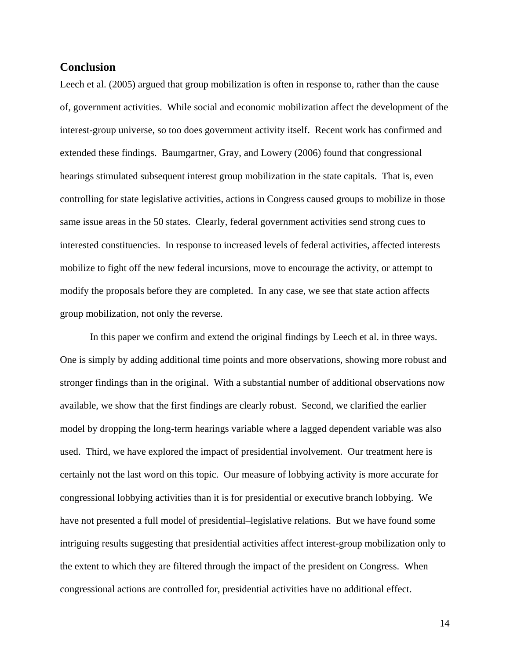## **Conclusion**

Leech et al. (2005) argued that group mobilization is often in response to, rather than the cause of, government activities. While social and economic mobilization affect the development of the interest-group universe, so too does government activity itself. Recent work has confirmed and extended these findings. Baumgartner, Gray, and Lowery (2006) found that congressional hearings stimulated subsequent interest group mobilization in the state capitals. That is, even controlling for state legislative activities, actions in Congress caused groups to mobilize in those same issue areas in the 50 states. Clearly, federal government activities send strong cues to interested constituencies. In response to increased levels of federal activities, affected interests mobilize to fight off the new federal incursions, move to encourage the activity, or attempt to modify the proposals before they are completed. In any case, we see that state action affects group mobilization, not only the reverse.

In this paper we confirm and extend the original findings by Leech et al. in three ways. One is simply by adding additional time points and more observations, showing more robust and stronger findings than in the original. With a substantial number of additional observations now available, we show that the first findings are clearly robust. Second, we clarified the earlier model by dropping the long-term hearings variable where a lagged dependent variable was also used. Third, we have explored the impact of presidential involvement. Our treatment here is certainly not the last word on this topic. Our measure of lobbying activity is more accurate for congressional lobbying activities than it is for presidential or executive branch lobbying. We have not presented a full model of presidential–legislative relations. But we have found some intriguing results suggesting that presidential activities affect interest-group mobilization only to the extent to which they are filtered through the impact of the president on Congress. When congressional actions are controlled for, presidential activities have no additional effect.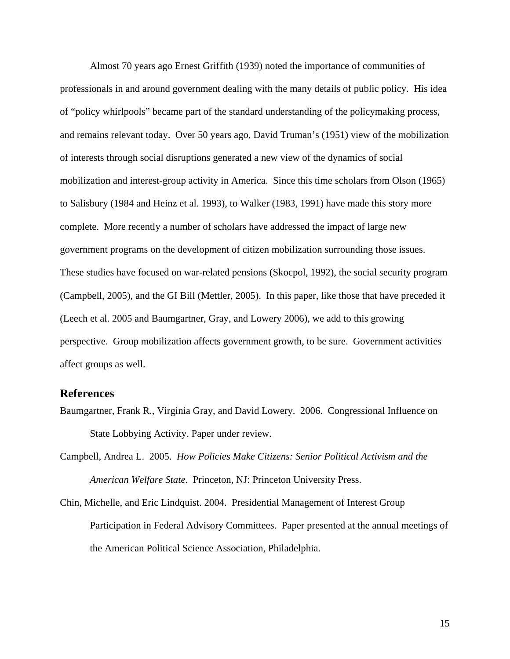Almost 70 years ago Ernest Griffith (1939) noted the importance of communities of professionals in and around government dealing with the many details of public policy. His idea of "policy whirlpools" became part of the standard understanding of the policymaking process, and remains relevant today. Over 50 years ago, David Truman's (1951) view of the mobilization of interests through social disruptions generated a new view of the dynamics of social mobilization and interest-group activity in America. Since this time scholars from Olson (1965) to Salisbury (1984 and Heinz et al. 1993), to Walker (1983, 1991) have made this story more complete. More recently a number of scholars have addressed the impact of large new government programs on the development of citizen mobilization surrounding those issues. These studies have focused on war-related pensions (Skocpol, 1992), the social security program (Campbell, 2005), and the GI Bill (Mettler, 2005). In this paper, like those that have preceded it (Leech et al. 2005 and Baumgartner, Gray, and Lowery 2006), we add to this growing perspective. Group mobilization affects government growth, to be sure. Government activities affect groups as well.

#### **References**

- Baumgartner, Frank R., Virginia Gray, and David Lowery. 2006. Congressional Influence on State Lobbying Activity. Paper under review.
- Campbell, Andrea L. 2005. *How Policies Make Citizens: Senior Political Activism and the American Welfare State*. Princeton, NJ: Princeton University Press.
- Chin, Michelle, and Eric Lindquist. 2004. Presidential Management of Interest Group Participation in Federal Advisory Committees. Paper presented at the annual meetings of the American Political Science Association, Philadelphia.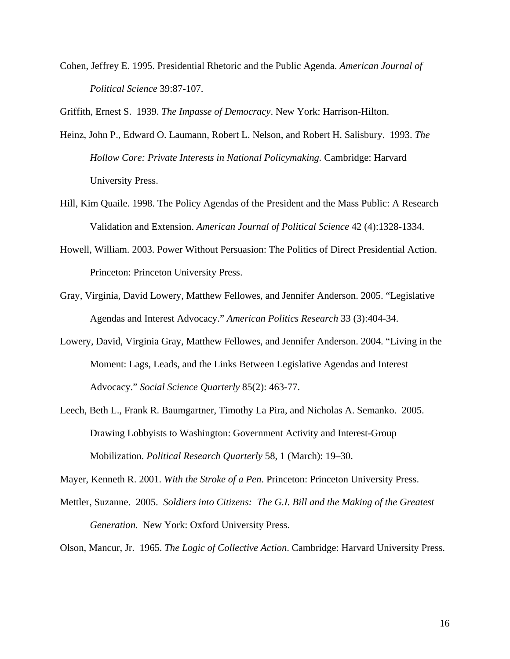Cohen, Jeffrey E. 1995. Presidential Rhetoric and the Public Agenda. *American Journal of Political Science* 39:87-107.

Griffith, Ernest S. 1939. *The Impasse of Democracy*. New York: Harrison-Hilton.

- Heinz, John P., Edward O. Laumann, Robert L. Nelson, and Robert H. Salisbury. 1993. *The Hollow Core: Private Interests in National Policymaking.* Cambridge: Harvard University Press.
- Hill, Kim Quaile. 1998. The Policy Agendas of the President and the Mass Public: A Research Validation and Extension. *American Journal of Political Science* 42 (4):1328-1334.
- Howell, William. 2003. Power Without Persuasion: The Politics of Direct Presidential Action. Princeton: Princeton University Press.
- Gray, Virginia, David Lowery, Matthew Fellowes, and Jennifer Anderson. 2005. "Legislative Agendas and Interest Advocacy." *American Politics Research* 33 (3):404-34.
- Lowery, David, Virginia Gray, Matthew Fellowes, and Jennifer Anderson. 2004. "Living in the Moment: Lags, Leads, and the Links Between Legislative Agendas and Interest Advocacy." *Social Science Quarterly* 85(2): 463-77.
- Leech, Beth L., Frank R. Baumgartner, Timothy La Pira, and Nicholas A. Semanko. 2005. Drawing Lobbyists to Washington: Government Activity and Interest-Group Mobilization. *Political Research Quarterly* 58, 1 (March): 19–30.

Mayer, Kenneth R. 2001. *With the Stroke of a Pen*. Princeton: Princeton University Press.

Mettler, Suzanne. 2005. *Soldiers into Citizens: The G.I. Bill and the Making of the Greatest Generation*. New York: Oxford University Press.

Olson, Mancur, Jr. 1965. *The Logic of Collective Action*. Cambridge: Harvard University Press.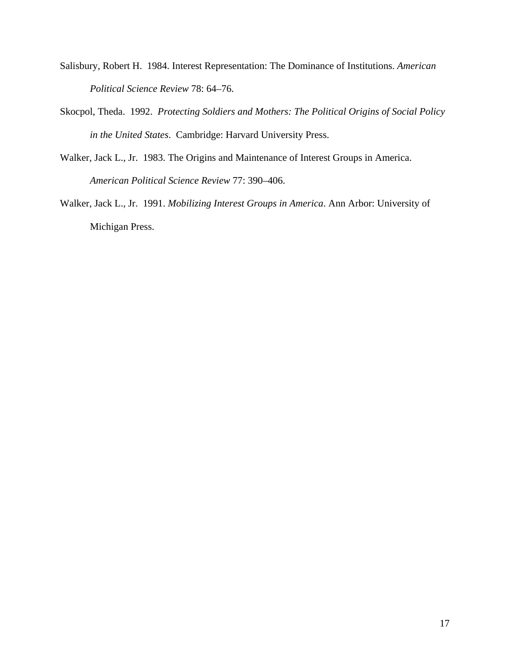- Salisbury, Robert H. 1984. Interest Representation: The Dominance of Institutions. *American Political Science Review* 78: 64–76.
- Skocpol, Theda. 1992. *Protecting Soldiers and Mothers: The Political Origins of Social Policy in the United States*. Cambridge: Harvard University Press.
- Walker, Jack L., Jr. 1983. The Origins and Maintenance of Interest Groups in America. *American Political Science Review* 77: 390–406.
- Walker, Jack L., Jr. 1991. *Mobilizing Interest Groups in America*. Ann Arbor: University of Michigan Press.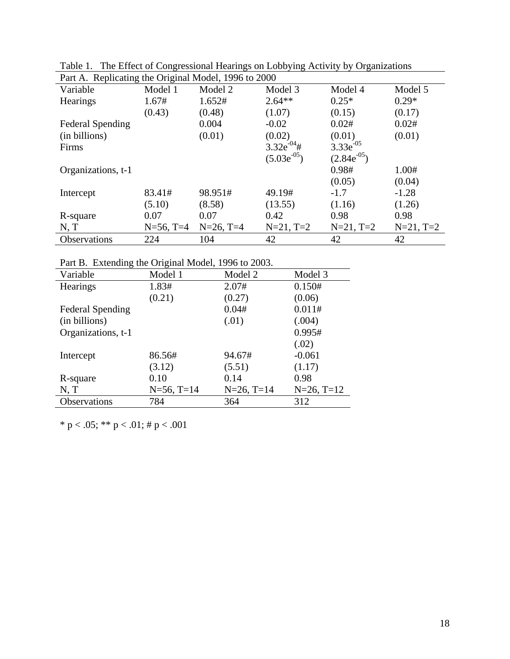| Part A. Replicating the Original Model, 1996 to 2000 |              |              |                  |                  |             |  |  |  |
|------------------------------------------------------|--------------|--------------|------------------|------------------|-------------|--|--|--|
| Variable                                             | Model 1      | Model 2      | Model 3          | Model 4          | Model 5     |  |  |  |
| Hearings                                             | 1.67#        | 1.652#       | $2.64**$         | $0.25*$          | $0.29*$     |  |  |  |
|                                                      | (0.43)       | (0.48)       | (1.07)           | (0.15)           | (0.17)      |  |  |  |
| <b>Federal Spending</b>                              |              | 0.004        | $-0.02$          | 0.02#            | 0.02#       |  |  |  |
| (in billions)                                        |              | (0.01)       | (0.02)           | (0.01)           | (0.01)      |  |  |  |
| Firms                                                |              |              | $3.32e^{-04}$ #  | $3.33e^{-0.5}$   |             |  |  |  |
|                                                      |              |              | $(5.03e^{-0.5})$ | $(2.84e^{-0.5})$ |             |  |  |  |
| Organizations, t-1                                   |              |              |                  | 0.98#            | 1.00#       |  |  |  |
|                                                      |              |              |                  | (0.05)           | (0.04)      |  |  |  |
| Intercept                                            | 83.41#       | 98.951#      | 49.19#           | $-1.7$           | $-1.28$     |  |  |  |
|                                                      | (5.10)       | (8.58)       | (13.55)          | (1.16)           | (1.26)      |  |  |  |
| R-square                                             | 0.07         | 0.07         | 0.42             | 0.98             | 0.98        |  |  |  |
| N, T                                                 | $N=56$ , T=4 | $N=26$ , T=4 | $N=21, T=2$      | $N=21, T=2$      | $N=21, T=2$ |  |  |  |
| Observations                                         | 224          | 104          | 42               | 42               | 42          |  |  |  |

Table 1. The Effect of Congressional Hearings on Lobbying Activity by Organizations

Part B. Extending the Original Model, 1996 to 2003.

| Variable                | Model 1       | Model 2       | Model 3       |
|-------------------------|---------------|---------------|---------------|
| Hearings                | 1.83#         | 2.07#         | 0.150#        |
|                         | (0.21)        | (0.27)        | (0.06)        |
| <b>Federal Spending</b> |               | 0.04#         | 0.011#        |
| (in billions)           |               | (.01)         | (.004)        |
| Organizations, t-1      |               |               | 0.995#        |
|                         |               |               | (.02)         |
| Intercept               | 86.56#        | 94.67#        | $-0.061$      |
|                         | (3.12)        | (5.51)        | (1.17)        |
| R-square                | 0.10          | 0.14          | 0.98          |
| N, T                    | $N=56$ , T=14 | $N=26$ , T=14 | $N=26$ , T=12 |
| Observations            | 784           | 364           | 312           |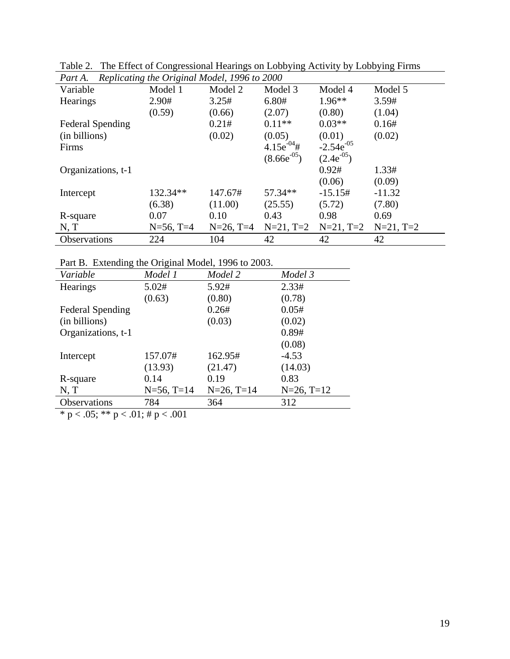| Replicating the Original Model, 1996 to 2000<br>Part A. |              |              |                  |                 |             |  |  |  |
|---------------------------------------------------------|--------------|--------------|------------------|-----------------|-------------|--|--|--|
| Variable                                                | Model 1      | Model 2      | Model 3          | Model 4         | Model 5     |  |  |  |
| <b>Hearings</b>                                         | 2.90#        | 3.25#        | 6.80#            | $1.96**$        | 3.59#       |  |  |  |
|                                                         | (0.59)       | (0.66)       | (2.07)           | (0.80)          | (1.04)      |  |  |  |
| <b>Federal Spending</b>                                 |              | 0.21#        | $0.11**$         | $0.03**$        | 0.16#       |  |  |  |
| (in billions)                                           |              | (0.02)       | (0.05)           | (0.01)          | (0.02)      |  |  |  |
| Firms                                                   |              |              | $4.15e^{-0.4}$ # | $-2.54e^{-0.5}$ |             |  |  |  |
|                                                         |              |              | $(8.66e^{-0.5})$ | $(2.4e^{-0.5})$ |             |  |  |  |
| Organizations, t-1                                      |              |              |                  | 0.92#           | 1.33#       |  |  |  |
|                                                         |              |              |                  | (0.06)          | (0.09)      |  |  |  |
| Intercept                                               | 132.34**     | 147.67#      | 57.34**          | $-15.15#$       | $-11.32$    |  |  |  |
|                                                         | (6.38)       | (11.00)      | (25.55)          | (5.72)          | (7.80)      |  |  |  |
| R-square                                                | 0.07         | 0.10         | 0.43             | 0.98            | 0.69        |  |  |  |
| N, T                                                    | $N=56$ , T=4 | $N=26$ , T=4 | $N=21, T=2$      | $N=21, T=2$     | $N=21, T=2$ |  |  |  |
| <b>Observations</b>                                     | 224          | 104          | 42               | 42              | 42          |  |  |  |

Table 2. The Effect of Congressional Hearings on Lobbying Activity by Lobbying Firms

Part B. Extending the Original Model, 1996 to 2003.

| I are D. EXEMINING the Original Notice, 1990 to 2009. |               |               |  |  |  |  |  |
|-------------------------------------------------------|---------------|---------------|--|--|--|--|--|
| Model 1                                               | Model 2       | Model 3       |  |  |  |  |  |
| 5.02#                                                 | 5.92#         | 2.33#         |  |  |  |  |  |
| (0.63)                                                | (0.80)        | (0.78)        |  |  |  |  |  |
|                                                       | 0.26#         | 0.05#         |  |  |  |  |  |
|                                                       | (0.03)        | (0.02)        |  |  |  |  |  |
|                                                       |               | 0.89#         |  |  |  |  |  |
|                                                       |               | (0.08)        |  |  |  |  |  |
| 157.07#                                               | 162.95#       | $-4.53$       |  |  |  |  |  |
| (13.93)                                               | (21.47)       | (14.03)       |  |  |  |  |  |
| 0.14                                                  | 0.19          | 0.83          |  |  |  |  |  |
| $N=56$ , T=14                                         | $N=26$ , T=14 | $N=26$ , T=12 |  |  |  |  |  |
| 784                                                   | 364           | 312           |  |  |  |  |  |
|                                                       |               |               |  |  |  |  |  |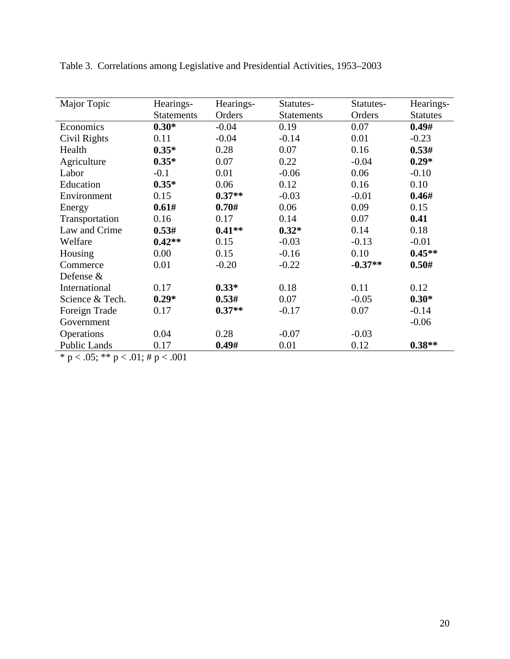| Major Topic         | Hearings-         | Hearings- | Statutes-         | Statutes- | Hearings-       |
|---------------------|-------------------|-----------|-------------------|-----------|-----------------|
|                     | <b>Statements</b> | Orders    | <b>Statements</b> | Orders    | <b>Statutes</b> |
| Economics           | $0.30*$           | $-0.04$   | 0.19              | 0.07      | 0.49#           |
| Civil Rights        | 0.11              | $-0.04$   | $-0.14$           | 0.01      | $-0.23$         |
| Health              | $0.35*$           | 0.28      | 0.07              | 0.16      | 0.53#           |
| Agriculture         | $0.35*$           | 0.07      | 0.22              | $-0.04$   | $0.29*$         |
| Labor               | $-0.1$            | 0.01      | $-0.06$           | 0.06      | $-0.10$         |
| Education           | $0.35*$           | 0.06      | 0.12              | 0.16      | 0.10            |
| Environment         | 0.15              | $0.37**$  | $-0.03$           | $-0.01$   | 0.46#           |
| Energy              | 0.61#             | 0.70#     | 0.06              | 0.09      | 0.15            |
| Transportation      | 0.16              | 0.17      | 0.14              | 0.07      | 0.41            |
| Law and Crime       | 0.53#             | $0.41**$  | $0.32*$           | 0.14      | 0.18            |
| Welfare             | $0.42**$          | 0.15      | $-0.03$           | $-0.13$   | $-0.01$         |
| Housing             | 0.00              | 0.15      | $-0.16$           | 0.10      | $0.45**$        |
| Commerce            | 0.01              | $-0.20$   | $-0.22$           | $-0.37**$ | 0.50#           |
| Defense &           |                   |           |                   |           |                 |
| International       | 0.17              | $0.33*$   | 0.18              | 0.11      | 0.12            |
| Science & Tech.     | $0.29*$           | 0.53#     | 0.07              | $-0.05$   | $0.30*$         |
| Foreign Trade       | 0.17              | $0.37**$  | $-0.17$           | 0.07      | $-0.14$         |
| Government          |                   |           |                   |           | $-0.06$         |
| Operations          | 0.04              | 0.28      | $-0.07$           | $-0.03$   |                 |
| <b>Public Lands</b> | 0.17              | 0.49#     | 0.01              | 0.12      | $0.38**$        |

Table 3. Correlations among Legislative and Presidential Activities, 1953–2003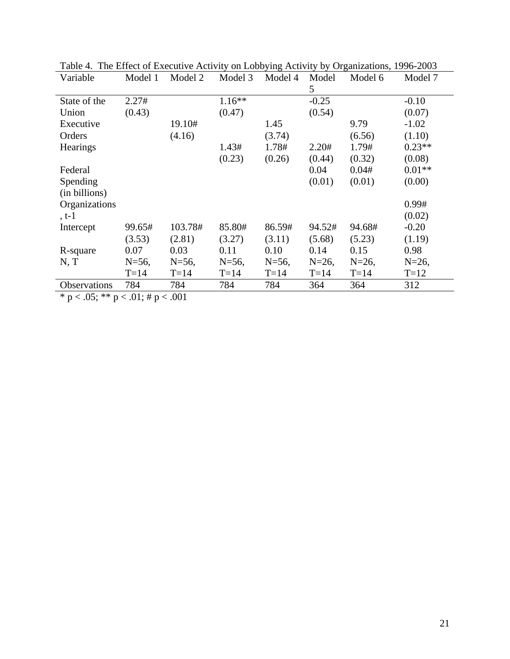| Variable        | Model 1    | Model 2    | Model 3    | Model 4    | Model<br>5 | Model 6    | Model 7    |
|-----------------|------------|------------|------------|------------|------------|------------|------------|
| State of the    | 2.27#      |            | $1.16**$   |            | $-0.25$    |            | $-0.10$    |
| Union           | (0.43)     |            | (0.47)     |            | (0.54)     |            | (0.07)     |
| Executive       |            | 19.10#     |            | 1.45       |            | 9.79       | $-1.02$    |
| Orders          |            | (4.16)     |            | (3.74)     |            | (6.56)     | (1.10)     |
| <b>Hearings</b> |            |            | 1.43#      | 1.78#      | 2.20#      | 1.79#      | $0.23**$   |
|                 |            |            | (0.23)     | (0.26)     | (0.44)     | (0.32)     | (0.08)     |
| Federal         |            |            |            |            | 0.04       | 0.04#      | $0.01**$   |
| Spending        |            |            |            |            | (0.01)     | (0.01)     | (0.00)     |
| (in billions)   |            |            |            |            |            |            |            |
| Organizations   |            |            |            |            |            |            | 0.99#      |
| $, t-1$         |            |            |            |            |            |            | (0.02)     |
| Intercept       | 99.65#     | 103.78#    | 85.80#     | 86.59#     | 94.52#     | 94.68#     | $-0.20$    |
|                 | (3.53)     | (2.81)     | (3.27)     | (3.11)     | (5.68)     | (5.23)     | (1.19)     |
| R-square        | 0.07       | 0.03       | 0.11       | 0.10       | 0.14       | 0.15       | 0.98       |
| N, T            | $N = 56$ , | $N = 56$ , | $N = 56$ , | $N = 56$ , | $N = 26$ , | $N = 26$ , | $N = 26$ , |
|                 | $T=14$     | $T=14$     | $T=14$     | $T=14$     | $T=14$     | $T=14$     | $T=12$     |
| Observations    | 784        | 784        | 784        | 784        | 364        | 364        | 312        |

Table 4. The Effect of Executive Activity on Lobbying Activity by Organizations, 1996-2003